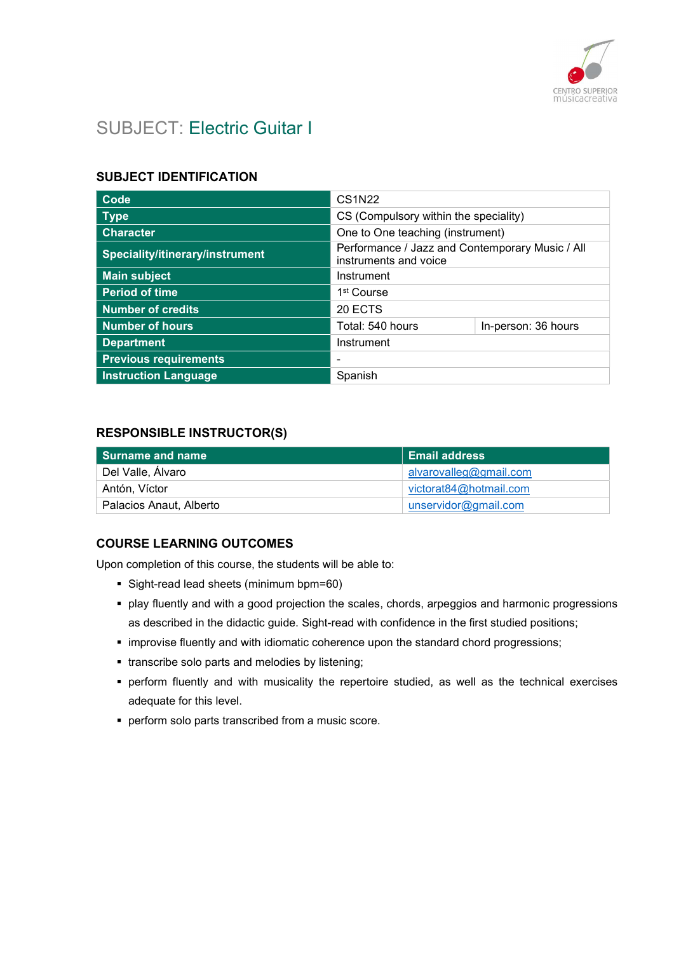

# SUBJECT: Electric Guitar I

## SUBJECT IDENTIFICATION

| Code                            | <b>CS1N22</b>                                                            |                     |
|---------------------------------|--------------------------------------------------------------------------|---------------------|
| <b>Type</b>                     | CS (Compulsory within the speciality)                                    |                     |
| <b>Character</b>                | One to One teaching (instrument)                                         |                     |
| Speciality/itinerary/instrument | Performance / Jazz and Contemporary Music / All<br>instruments and voice |                     |
| <b>Main subject</b>             | Instrument                                                               |                     |
| <b>Period of time</b>           | 1 <sup>st</sup> Course                                                   |                     |
| <b>Number of credits</b>        | 20 ECTS                                                                  |                     |
| <b>Number of hours</b>          | Total: 540 hours                                                         | In-person: 36 hours |
| <b>Department</b>               | Instrument                                                               |                     |
| <b>Previous requirements</b>    |                                                                          |                     |
| <b>Instruction Language</b>     | Spanish                                                                  |                     |

#### RESPONSIBLE INSTRUCTOR(S)

| Surname and name        | <b>Email address</b>   |
|-------------------------|------------------------|
| Del Valle, Álvaro       | alvarovalleg@gmail.com |
| Antón, Víctor           | victorat84@hotmail.com |
| Palacios Anaut, Alberto | unservidor@gmail.com   |

## COURSE LEARNING OUTCOMES

Upon completion of this course, the students will be able to:

- Sight-read lead sheets (minimum bpm=60)
- play fluently and with a good projection the scales, chords, arpeggios and harmonic progressions as described in the didactic guide. Sight-read with confidence in the first studied positions;
- improvise fluently and with idiomatic coherence upon the standard chord progressions;
- **transcribe solo parts and melodies by listening;**
- perform fluently and with musicality the repertoire studied, as well as the technical exercises adequate for this level.
- **perform solo parts transcribed from a music score.**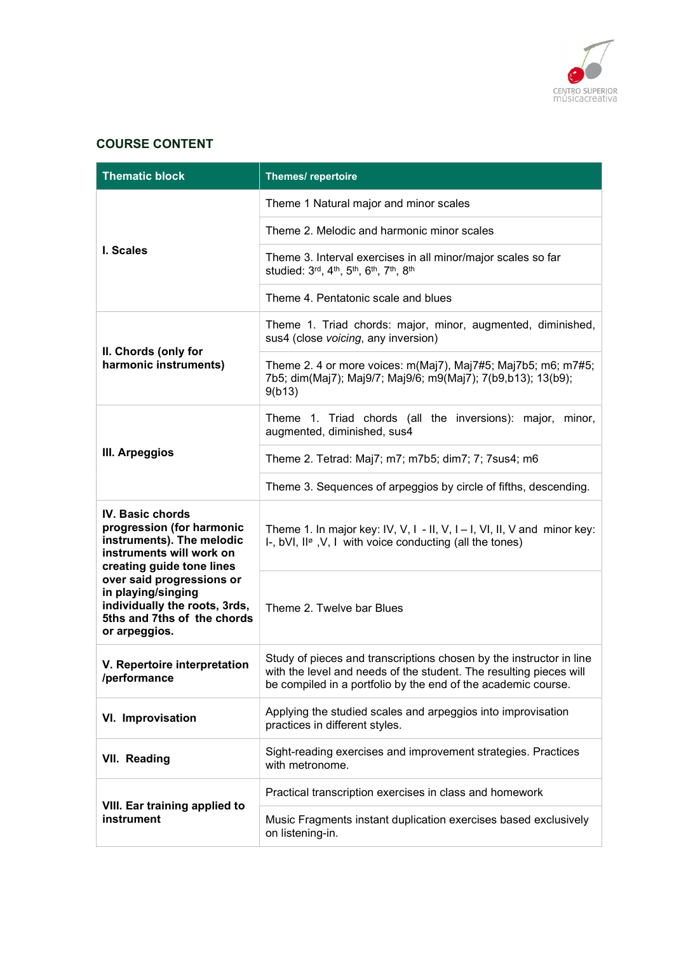

## COURSE CONTENT

| <b>Thematic block</b>                                                                                                               | Themes/repertoire                                                                                                                                                                                          |
|-------------------------------------------------------------------------------------------------------------------------------------|------------------------------------------------------------------------------------------------------------------------------------------------------------------------------------------------------------|
|                                                                                                                                     | Theme 1 Natural major and minor scales                                                                                                                                                                     |
|                                                                                                                                     | Theme 2. Melodic and harmonic minor scales                                                                                                                                                                 |
| I. Scales                                                                                                                           | Theme 3. Interval exercises in all minor/major scales so far<br>studied: 3rd, 4th, 5th, 6th, 7th, 8th                                                                                                      |
|                                                                                                                                     | Theme 4. Pentatonic scale and blues                                                                                                                                                                        |
| II. Chords (only for                                                                                                                | Theme 1. Triad chords: major, minor, augmented, diminished,<br>sus4 (close voicing, any inversion)                                                                                                         |
| harmonic instruments)                                                                                                               | Theme 2. 4 or more voices: m(Maj7), Maj7#5; Maj7b5; m6; m7#5;<br>7b5; dim(Maj7); Maj9/7; Maj9/6; m9(Maj7); 7(b9,b13); 13(b9);<br>9(b13)                                                                    |
|                                                                                                                                     | Theme 1. Triad chords (all the inversions): major, minor,<br>augmented, diminished, sus4                                                                                                                   |
| III. Arpeggios                                                                                                                      | Theme 2. Tetrad: Maj7; m7; m7b5; dim7; 7; 7sus4; m6                                                                                                                                                        |
|                                                                                                                                     | Theme 3. Sequences of arpeggios by circle of fifths, descending.                                                                                                                                           |
| IV. Basic chords<br>progression (for harmonic<br>instruments). The melodic<br>instruments will work on<br>creating guide tone lines | Theme 1. In major key: IV, V, I - II, V, I - I, VI, II, V and minor key:<br>I-, bVI, II <sup>®</sup> , V, I with voice conducting (all the tones)                                                          |
| over said progressions or<br>in playing/singing<br>individually the roots, 3rds,<br>5ths and 7ths of the chords<br>or arpeggios.    | Theme 2. Twelve bar Blues                                                                                                                                                                                  |
| V. Repertoire interpretation<br>/performance                                                                                        | Study of pieces and transcriptions chosen by the instructor in line<br>with the level and needs of the student. The resulting pieces will<br>be compiled in a portfolio by the end of the academic course. |
| VI. Improvisation                                                                                                                   | Applying the studied scales and arpeggios into improvisation<br>practices in different styles.                                                                                                             |
| VII. Reading                                                                                                                        | Sight-reading exercises and improvement strategies. Practices<br>with metronome.                                                                                                                           |
|                                                                                                                                     | Practical transcription exercises in class and homework                                                                                                                                                    |
| VIII. Ear training applied to<br>instrument                                                                                         | Music Fragments instant duplication exercises based exclusively<br>on listening-in.                                                                                                                        |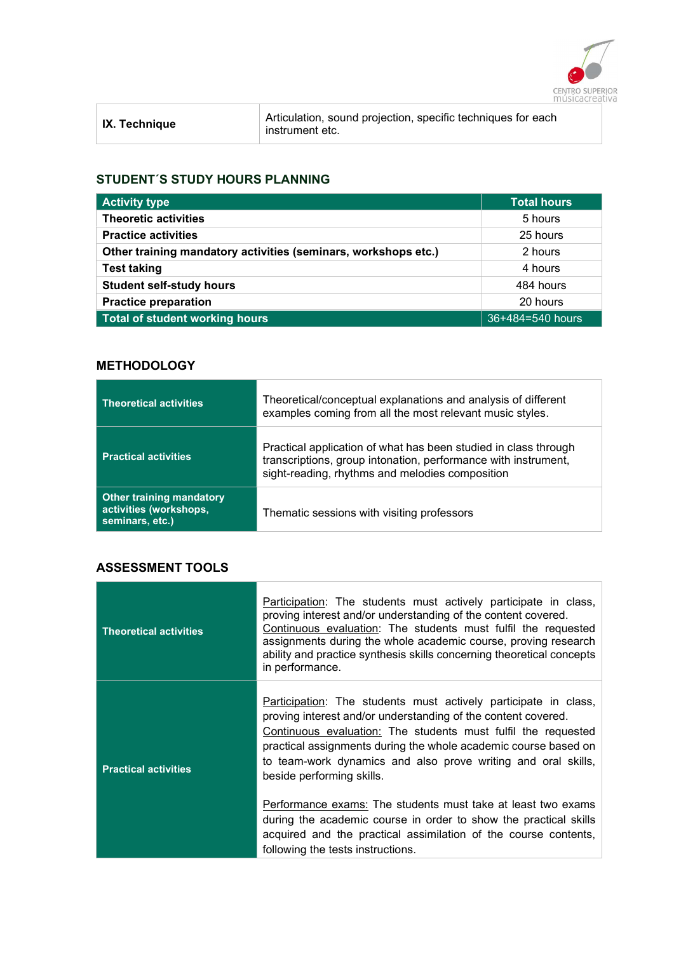

| <b>IX. Technique</b> | Articulation, sound projection, specific techniques for each<br>instrument etc. |
|----------------------|---------------------------------------------------------------------------------|
|                      |                                                                                 |

### STUDENT´S STUDY HOURS PLANNING

| <b>Activity type</b>                                           | Total hours      |
|----------------------------------------------------------------|------------------|
| <b>Theoretic activities</b>                                    | 5 hours          |
| <b>Practice activities</b>                                     | 25 hours         |
| Other training mandatory activities (seminars, workshops etc.) | 2 hours          |
| <b>Test taking</b>                                             | 4 hours          |
| <b>Student self-study hours</b>                                | 484 hours        |
| <b>Practice preparation</b>                                    | 20 hours         |
| Total of student working hours                                 | 36+484=540 hours |

### **METHODOLOGY**

| <b>Theoretical activities</b>                                                | Theoretical/conceptual explanations and analysis of different<br>examples coming from all the most relevant music styles.                                                            |
|------------------------------------------------------------------------------|--------------------------------------------------------------------------------------------------------------------------------------------------------------------------------------|
| <b>Practical activities</b>                                                  | Practical application of what has been studied in class through<br>transcriptions, group intonation, performance with instrument,<br>sight-reading, rhythms and melodies composition |
| <b>Other training mandatory</b><br>activities (workshops,<br>seminars, etc.) | Thematic sessions with visiting professors                                                                                                                                           |

# ASSESSMENT TOOLS

| <b>Theoretical activities</b> | Participation: The students must actively participate in class,<br>proving interest and/or understanding of the content covered.<br>Continuous evaluation: The students must fulfil the requested<br>assignments during the whole academic course, proving research<br>ability and practice synthesis skills concerning theoretical concepts<br>in performance.    |
|-------------------------------|--------------------------------------------------------------------------------------------------------------------------------------------------------------------------------------------------------------------------------------------------------------------------------------------------------------------------------------------------------------------|
| <b>Practical activities</b>   | Participation: The students must actively participate in class,<br>proving interest and/or understanding of the content covered.<br>Continuous evaluation: The students must fulfil the requested<br>practical assignments during the whole academic course based on<br>to team-work dynamics and also prove writing and oral skills,<br>beside performing skills. |
|                               | Performance exams: The students must take at least two exams<br>during the academic course in order to show the practical skills<br>acquired and the practical assimilation of the course contents,<br>following the tests instructions.                                                                                                                           |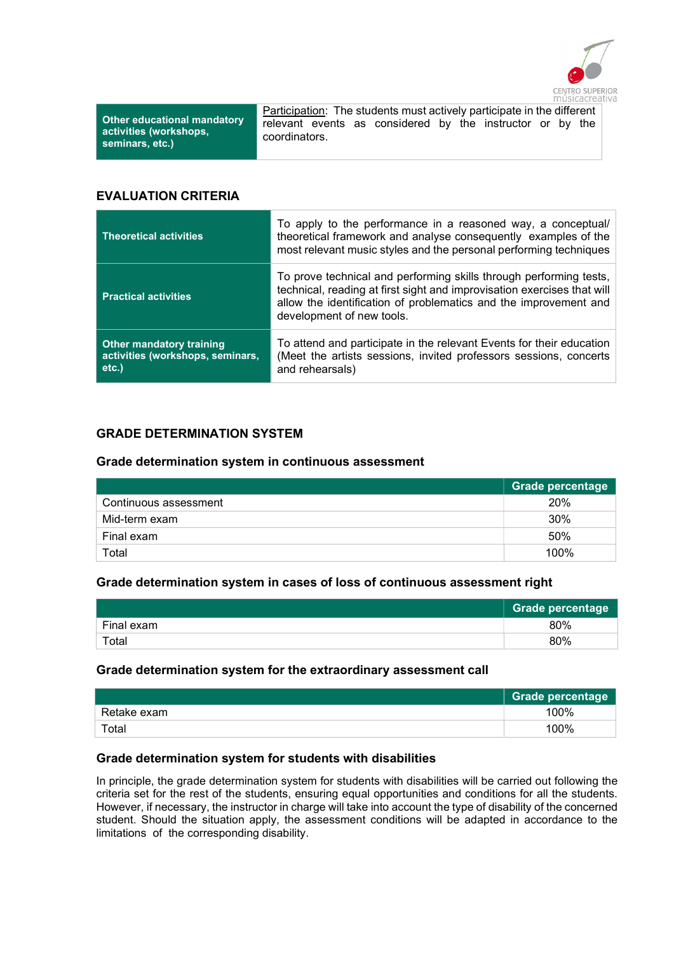

Other educational mandatory activities (workshops, seminars, etc.)

Participation: The students must actively participate in the different relevant events as considered by the instructor or by the coordinators.

#### EVALUATION CRITERIA

| <b>Theoretical activities</b>                                                   | To apply to the performance in a reasoned way, a conceptual/<br>theoretical framework and analyse consequently examples of the<br>most relevant music styles and the personal performing techniques                                            |
|---------------------------------------------------------------------------------|------------------------------------------------------------------------------------------------------------------------------------------------------------------------------------------------------------------------------------------------|
| <b>Practical activities</b>                                                     | To prove technical and performing skills through performing tests,<br>technical, reading at first sight and improvisation exercises that will<br>allow the identification of problematics and the improvement and<br>development of new tools. |
| <b>Other mandatory training</b><br>activities (workshops, seminars,<br>$etc.$ ) | To attend and participate in the relevant Events for their education<br>(Meet the artists sessions, invited professors sessions, concerts<br>and rehearsals)                                                                                   |

## GRADE DETERMINATION SYSTEM

#### Grade determination system in continuous assessment

|                       | <b>Grade percentage</b> |
|-----------------------|-------------------------|
| Continuous assessment | 20%                     |
| Mid-term exam         | 30%                     |
| Final exam            | 50%                     |
| Total                 | 100%                    |

#### Grade determination system in cases of loss of continuous assessment right

|            | Grade percentage |
|------------|------------------|
| Final exam | 80%              |
| Total      | 80%              |

#### Grade determination system for the extraordinary assessment call

|             | <b>Grade percentage</b> |
|-------------|-------------------------|
| Retake exam | 100%                    |
| Total       | 100%                    |

#### Grade determination system for students with disabilities

In principle, the grade determination system for students with disabilities will be carried out following the criteria set for the rest of the students, ensuring equal opportunities and conditions for all the students. However, if necessary, the instructor in charge will take into account the type of disability of the concerned student. Should the situation apply, the assessment conditions will be adapted in accordance to the limitations of the corresponding disability.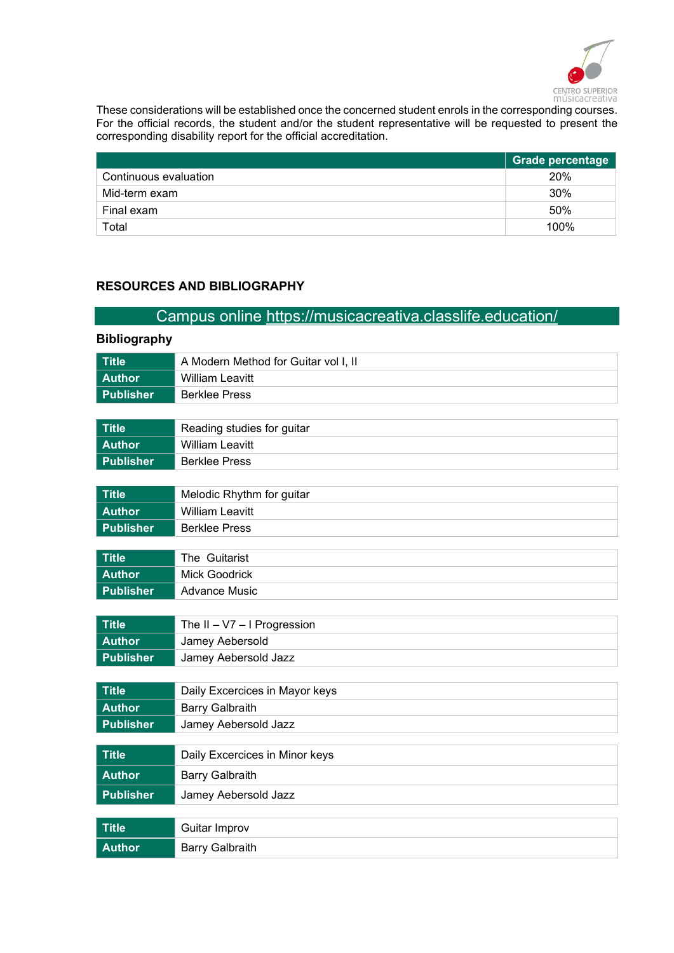

These considerations will be established once the concerned student enrols in the corresponding courses. For the official records, the student and/or the student representative will be requested to present the corresponding disability report for the official accreditation.

|                       | <b>Grade percentage</b> |
|-----------------------|-------------------------|
| Continuous evaluation | 20%                     |
| Mid-term exam         | 30%                     |
| Final exam            | 50%                     |
| Total                 | 100%                    |

### RESOURCES AND BIBLIOGRAPHY

### Campus online https://musicacreativa.classlife.education/

# Bibliography Title **A Modern Method for Guitar vol I, II** Author William Leavitt Publisher Berklee Press Title Reading studies for quitar Author William Leavitt Publisher Berklee Press Title Melodic Rhythm for guitar Author William Leavitt Publisher Berklee Press Title The Guitarist Author Mick Goodrick Publisher Advance Music Title The II – V7 – I Progression Author Jamey Aebersold Publisher Jamey Aebersold Jazz Title **Daily Excercices in Mayor keys** Author **Barry Galbraith** Publisher Jamey Aebersold Jazz Title **Daily Excercices in Minor keys** Author **Barry Galbraith** Publisher Jamey Aebersold Jazz Title Guitar Improv Author **Barry Galbraith**